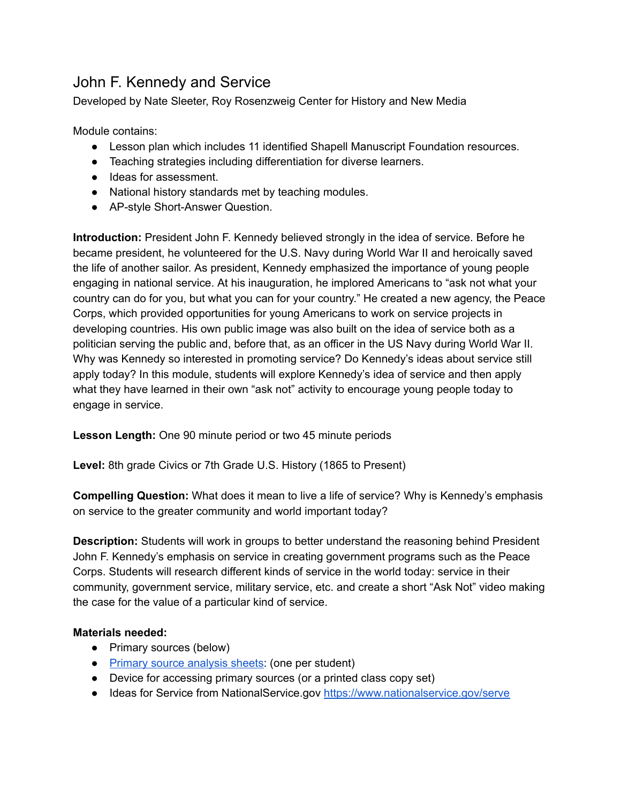# John F. Kennedy and Service

Developed by Nate Sleeter, Roy Rosenzweig Center for History and New Media

Module contains:

- Lesson plan which includes 11 identified Shapell Manuscript Foundation resources.
- Teaching strategies including differentiation for diverse learners.
- Ideas for assessment.
- National history standards met by teaching modules.
- AP-style Short-Answer Question.

**Introduction:** President John F. Kennedy believed strongly in the idea of service. Before he became president, he volunteered for the U.S. Navy during World War II and heroically saved the life of another sailor. As president, Kennedy emphasized the importance of young people engaging in national service. At his inauguration, he implored Americans to "ask not what your country can do for you, but what you can for your country." He created a new agency, the Peace Corps, which provided opportunities for young Americans to work on service projects in developing countries. His own public image was also built on the idea of service both as a politician serving the public and, before that, as an officer in the US Navy during World War II. Why was Kennedy so interested in promoting service? Do Kennedy's ideas about service still apply today? In this module, students will explore Kennedy's idea of service and then apply what they have learned in their own "ask not" activity to encourage young people today to engage in service.

**Lesson Length:** One 90 minute period or two 45 minute periods

**Level:** 8th grade Civics or 7th Grade U.S. History (1865 to Present)

**Compelling Question:** What does it mean to live a life of service? Why is Kennedy's emphasis on service to the greater community and world important today?

**Description:** Students will work in groups to better understand the reasoning behind President John F. Kennedy's emphasis on service in creating government programs such as the Peace Corps. Students will research different kinds of service in the world today: service in their community, government service, military service, etc. and create a short "Ask Not" video making the case for the value of a particular kind of service.

## **Materials needed:**

- Primary sources (below)
- [Primary source analysis sheets](https://www.archives.gov/files/education/lessons/worksheets/written_document_analysis_worksheet.pdf): (one per student)
- Device for accessing primary sources (or a printed class copy set)
- Ideas for Service from NationalService.gov <https://www.nationalservice.gov/serve>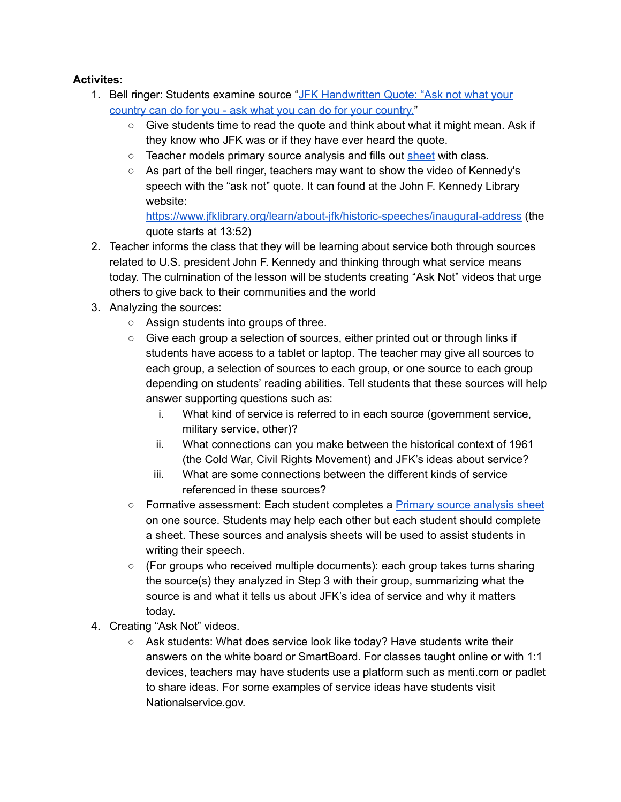# **Activites:**

- 1. Bell ringer: Students examine source " [JFK Handwritten Quote: "Ask not what your](https://www.shapell.org/manuscript/jfk-handwritten-quote-ask-not/)  [country can do for you - ask what you can do for your country. "](https://www.shapell.org/manuscript/jfk-handwritten-quote-ask-not/)
	- Give students time to read the quote and think about what it might mean. Ask if they know who JFK was or if they have ever heard the quote.
	- Teacher models primary source analysis and fills out [sheet](https://www.archives.gov/files/education/lessons/worksheets/written_document_analysis_worksheet.pdf) with class.
	- As part of the bell ringer, teachers may want to show the video of Kennedy's speech with the "ask not" quote. It can found at the John F. Kennedy Library website:

<https://www.jfklibrary.org/learn/about-jfk/historic-speeches/inaugural-address> (the quote starts at 13:52)

- 2. Teacher informs the class that they will be learning about service both through sources related to U.S. president John F. Kennedy and thinking through what service means today. The culmination of the lesson will be students creating "Ask Not" videos that urge others to give back to their communities and the world
- 3. Analyzing the sources:
	- Assign students into groups of three.
	- Give each group a selection of sources, either printed out or through links if students have access to a tablet or laptop. The teacher may give all sources to each group, a selection of sources to each group, or one source to each group depending on students' reading abilities. Tell students that these sources will help answer supporting questions such as:
		- i. What kind of service is referred to in each source (government service, military service, other)?
		- ii. What connections can you make between the historical context of 1961 (the Cold War, Civil Rights Movement) and JFK's ideas about service?
		- iii. What are some connections between the different kinds of service referenced in these sources?
	- Formative assessment: Each student completes a Primary source analysis sheet on one source. Students may help each other but each student should complete a sheet. These sources and analysis sheets will be used to assist students in writing their speech.
	- $\circ$  (For groups who received multiple documents): each group takes turns sharing the source(s) they analyzed in Step 3 with their group, summarizing what the source is and what it tells us about JFK's idea of service and why it matters today.
- 4. Creating "Ask Not" videos.
	- Ask students: What does service look like today? Have students write their answers on the white board or SmartBoard. For classes taught online or with 1:1 devices, teachers may have students use a platform such as menti.com or padlet to share ideas. For some examples of service ideas have students visit Nationalservice.gov.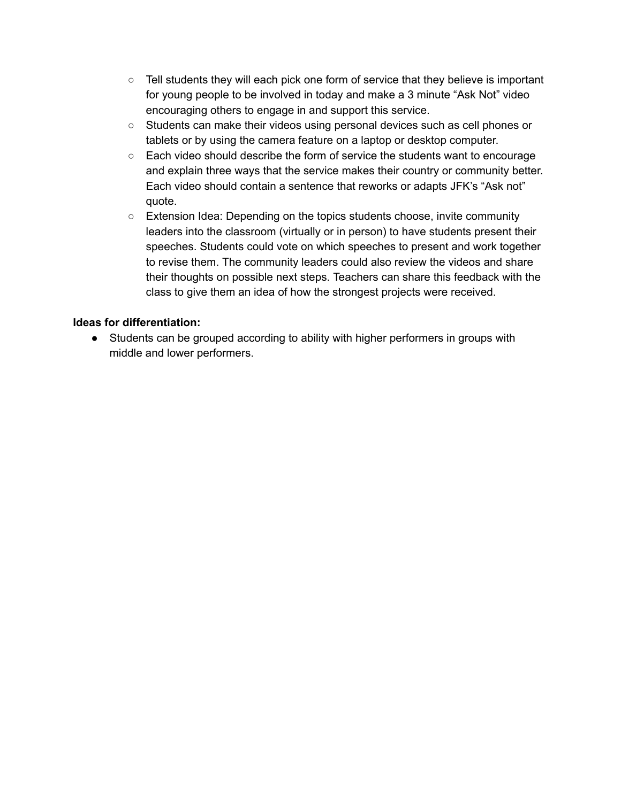- $\circ$  Tell students they will each pick one form of service that they believe is important for young people to be involved in today and make a 3 minute "Ask Not" video encouraging others to engage in and support this service.
- Students can make their videos using personal devices such as cell phones or tablets or by using the camera feature on a laptop or desktop computer.
- Each video should describe the form of service the students want to encourage and explain three ways that the service makes their country or community better. Each video should contain a sentence that reworks or adapts JFK's "Ask not" quote.
- Extension Idea: Depending on the topics students choose, invite community leaders into the classroom (virtually or in person) to have students present their speeches. Students could vote on which speeches to present and work together to revise them. The community leaders could also review the videos and share their thoughts on possible next steps. Teachers can share this feedback with the class to give them an idea of how the strongest projects were received.

#### **Ideas for differentiation:**

● Students can be grouped according to ability with higher performers in groups with middle and lower performers.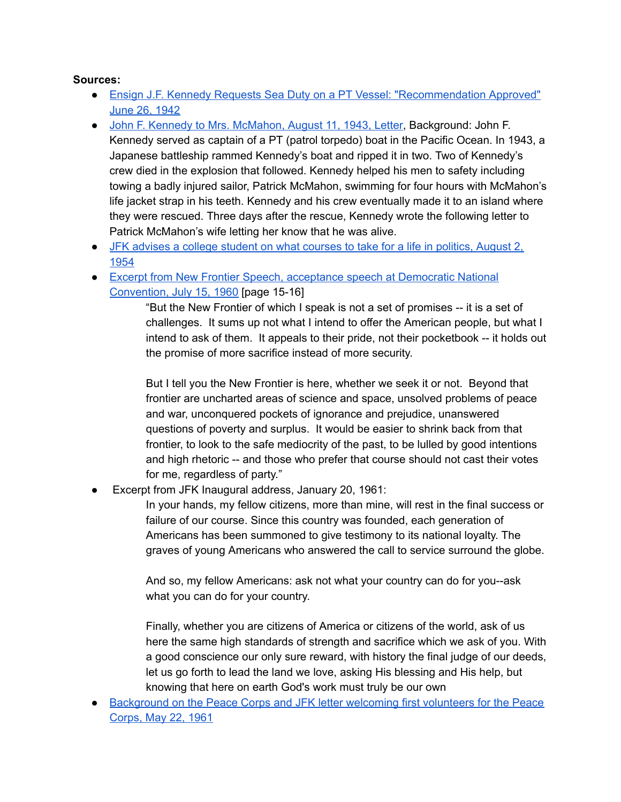#### **Sources:**

- [Ensign J.F. Kennedy Requests Sea Duty on a PT Vessel: "Recommendation Approved"](https://www.shapell.org/manuscript/jfk-navy-request-for-duty-pt-vessel-1942/)  [June 26, 1942](https://www.shapell.org/manuscript/jfk-navy-request-for-duty-pt-vessel-1942/)
- John F. Kennedy to Mrs. McMahon, August 11, 1943, Letter, Background: John F. Kennedy served as captain of a PT (patrol torpedo) boat in the Pacific Ocean. In 1943, a Japanese battleship rammed Kennedy's boat and ripped it in two. Two of Kennedy's crew died in the explosion that followed. Kennedy helped his men to safety including towing a badly injured sailor, Patrick McMahon, swimming for four hours with McMahon's life jacket strap in his teeth. Kennedy and his crew eventually made it to an island where they were rescued. Three days after the rescue, Kennedy wrote the following letter to Patrick McMahon's wife letting her know that he was alive.
- [JFK advises a college student on what courses to take for a life in politics, August 2,](https://www.shapell.org/manuscript/jfk-how-to-get-into-politics/) [1954](https://www.shapell.org/manuscript/jfk-how-to-get-into-politics/)
- Excerpt from New Frontier Speech, acceptance speech at Democratic National [Convention, July 15, 1960](https://www.shapell.org/manuscript/jfk-1960-new-frontier-speech/) [page 15-16]

"But the New Frontier of which I speak is not a set of promises -- it is a set of challenges. It sums up not what I intend to offer the American people, but what I intend to ask of them. It appeals to their pride, not their pocketbook -- it holds out the promise of more sacrifice instead of more security.

But I tell you the New Frontier is here, whether we seek it or not. Beyond that frontier are uncharted areas of science and space, unsolved problems of peace and war, unconquered pockets of ignorance and prejudice, unanswered questions of poverty and surplus. It would be easier to shrink back from that frontier, to look to the safe mediocrity of the past, to be lulled by good intentions and high rhetoric -- and those who prefer that course should not cast their votes for me, regardless of party."

Excerpt from JFK Inaugural address, January 20, 1961:

In your hands, my fellow citizens, more than mine, will rest in the final success or failure of our course. Since this country was founded, each generation of Americans has been summoned to give testimony to its national loyalty. The graves of young Americans who answered the call to service surround the globe.

And so, my fellow Americans: ask not what your country can do for you--ask what you can do for your country.

Finally, whether you are citizens of America or citizens of the world, ask of us here the same high standards of strength and sacrifice which we ask of you. With a good conscience our only sure reward, with history the final judge of our deeds, let us go forth to lead the land we love, asking His blessing and His help, but knowing that here on earth God's work must truly be our own

● Background on the Peace Corps and JFK letter welcoming first volunteers for the Peace [Corps, May 22, 1961](https://www.shapell.org/manuscript/jfk-peace-corps/)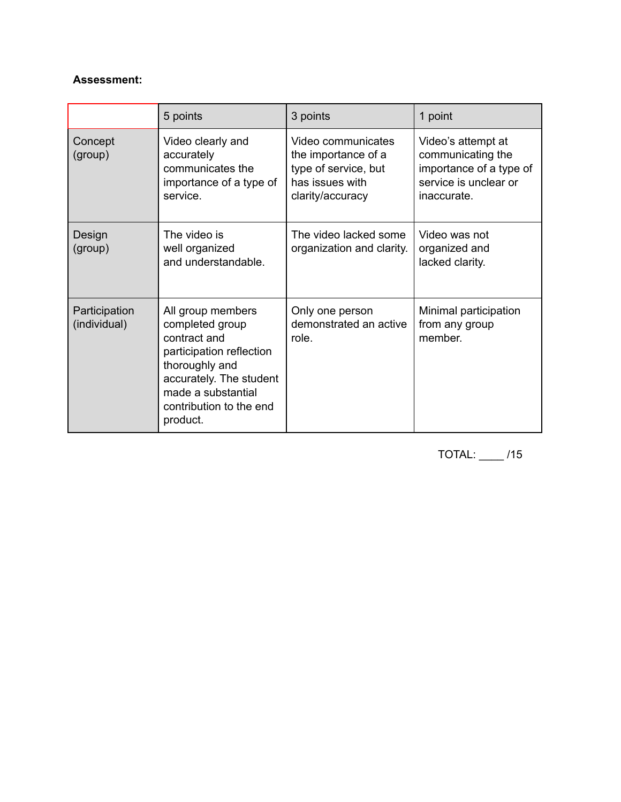### **Assessment:**

|                               | 5 points                                                                                                                                                                                   | 3 points                                                                                                 | 1 point                                                                                                    |  |
|-------------------------------|--------------------------------------------------------------------------------------------------------------------------------------------------------------------------------------------|----------------------------------------------------------------------------------------------------------|------------------------------------------------------------------------------------------------------------|--|
| Concept<br>(group)            | Video clearly and<br>accurately<br>communicates the<br>importance of a type of<br>service.                                                                                                 | Video communicates<br>the importance of a<br>type of service, but<br>has issues with<br>clarity/accuracy | Video's attempt at<br>communicating the<br>importance of a type of<br>service is unclear or<br>inaccurate. |  |
| Design<br>(group)             | The video is<br>well organized<br>and understandable.                                                                                                                                      | The video lacked some<br>organization and clarity.                                                       | Video was not<br>organized and<br>lacked clarity.                                                          |  |
| Participation<br>(individual) | All group members<br>completed group<br>contract and<br>participation reflection<br>thoroughly and<br>accurately. The student<br>made a substantial<br>contribution to the end<br>product. | Only one person<br>demonstrated an active<br>role.                                                       | Minimal participation<br>from any group<br>member.                                                         |  |

TOTAL: \_\_\_\_ /15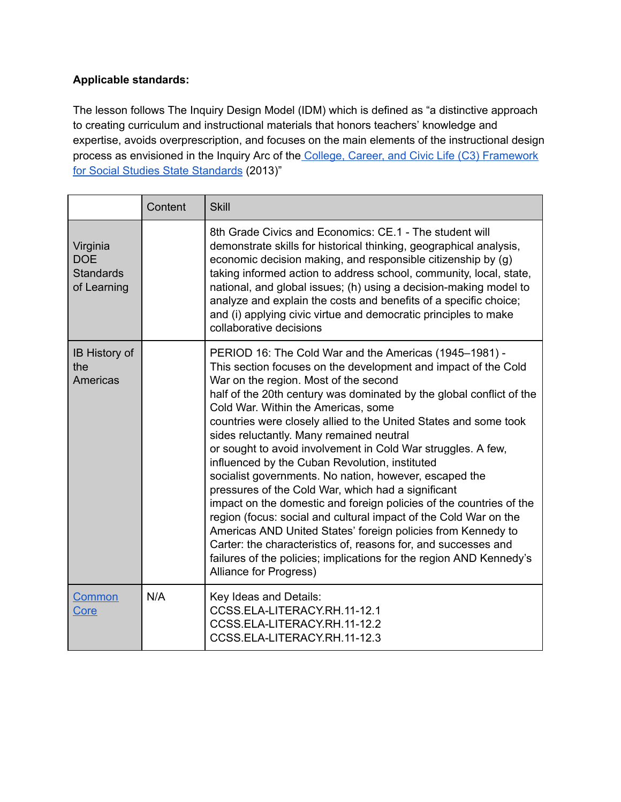# **Applicable standards:**

The lesson follows The Inquiry Design Model (IDM) which is defined as "a distinctive approach to creating curriculum and instructional materials that honors teachers' knowledge and expertise, avoids overprescription, and focuses on the main elements of the instructional design process as envisioned in the Inquiry Arc of the [College, Career, and Civic Life \(C3\) Framework](http://www.socialstudies.org/c3)  [for Social Studies State Standards](http://www.socialstudies.org/c3) (2013)"

|                                                           | Content | <b>Skill</b>                                                                                                                                                                                                                                                                                                                                                                                                                                                                                                                                                                                                                                                                                                                                                                                                                                                                                                                                                                                                     |
|-----------------------------------------------------------|---------|------------------------------------------------------------------------------------------------------------------------------------------------------------------------------------------------------------------------------------------------------------------------------------------------------------------------------------------------------------------------------------------------------------------------------------------------------------------------------------------------------------------------------------------------------------------------------------------------------------------------------------------------------------------------------------------------------------------------------------------------------------------------------------------------------------------------------------------------------------------------------------------------------------------------------------------------------------------------------------------------------------------|
| Virginia<br><b>DOE</b><br><b>Standards</b><br>of Learning |         | 8th Grade Civics and Economics: CE.1 - The student will<br>demonstrate skills for historical thinking, geographical analysis,<br>economic decision making, and responsible citizenship by (g)<br>taking informed action to address school, community, local, state,<br>national, and global issues; (h) using a decision-making model to<br>analyze and explain the costs and benefits of a specific choice;<br>and (i) applying civic virtue and democratic principles to make<br>collaborative decisions                                                                                                                                                                                                                                                                                                                                                                                                                                                                                                       |
| <b>IB History of</b><br>the<br><b>Americas</b>            |         | PERIOD 16: The Cold War and the Americas (1945-1981) -<br>This section focuses on the development and impact of the Cold<br>War on the region. Most of the second<br>half of the 20th century was dominated by the global conflict of the<br>Cold War. Within the Americas, some<br>countries were closely allied to the United States and some took<br>sides reluctantly. Many remained neutral<br>or sought to avoid involvement in Cold War struggles. A few,<br>influenced by the Cuban Revolution, instituted<br>socialist governments. No nation, however, escaped the<br>pressures of the Cold War, which had a significant<br>impact on the domestic and foreign policies of the countries of the<br>region (focus: social and cultural impact of the Cold War on the<br>Americas AND United States' foreign policies from Kennedy to<br>Carter: the characteristics of, reasons for, and successes and<br>failures of the policies; implications for the region AND Kennedy's<br>Alliance for Progress) |
| Common<br>Core                                            | N/A     | Key Ideas and Details:<br>CCSS.ELA-LITERACY.RH.11-12.1<br>CCSS.ELA-LITERACY.RH.11-12.2<br>CCSS.ELA-LITERACY.RH.11-12.3                                                                                                                                                                                                                                                                                                                                                                                                                                                                                                                                                                                                                                                                                                                                                                                                                                                                                           |